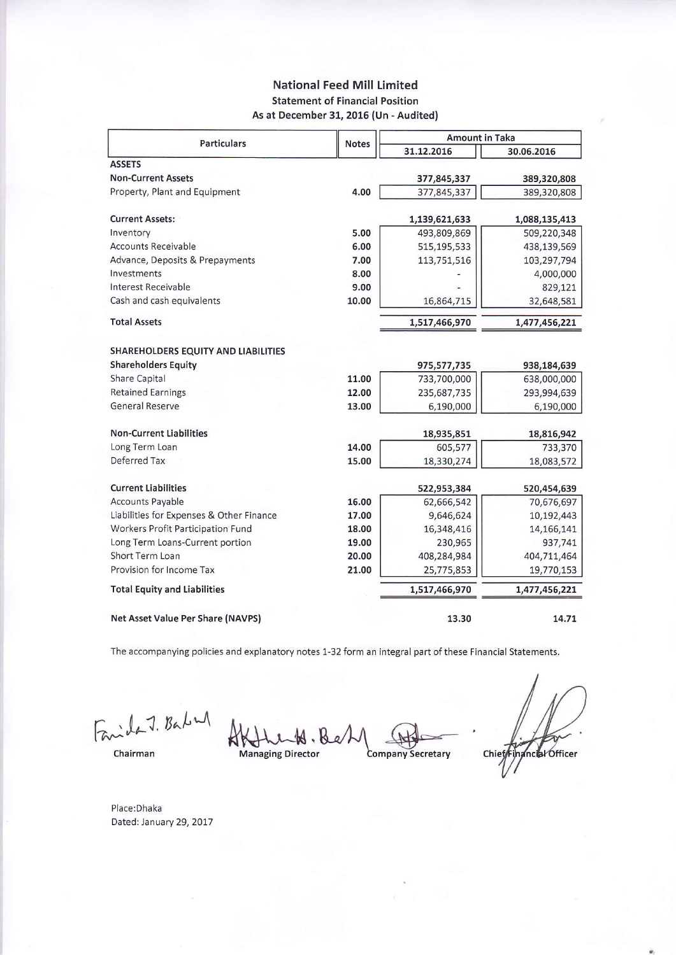## **National Feed Mill Limited Statement of Financial Position** As at December 31, 2016 (Un - Audited)

|                                            |              | <b>Amount in Taka</b> |               |  |
|--------------------------------------------|--------------|-----------------------|---------------|--|
| <b>Particulars</b>                         | <b>Notes</b> | 31.12.2016            | 30.06.2016    |  |
| <b>ASSETS</b>                              |              |                       |               |  |
| <b>Non-Current Assets</b>                  |              | 377,845,337           | 389,320,808   |  |
| Property, Plant and Equipment              | 4.00         | 377,845,337           | 389,320,808   |  |
| <b>Current Assets:</b>                     |              | 1,139,621,633         | 1,088,135,413 |  |
| Inventory                                  | 5.00         | 493,809,869           | 509,220,348   |  |
| <b>Accounts Receivable</b>                 | 6.00         | 515,195,533           | 438,139,569   |  |
| Advance, Deposits & Prepayments            | 7.00         | 113,751,516           | 103,297,794   |  |
| Investments                                | 8.00         |                       | 4,000,000     |  |
| Interest Receivable                        | 9.00         |                       | 829,121       |  |
| Cash and cash equivalents                  | 10.00        | 16,864,715            | 32,648,581    |  |
| <b>Total Assets</b>                        |              | 1,517,466,970         | 1,477,456,221 |  |
| <b>SHAREHOLDERS EQUITY AND LIABILITIES</b> |              |                       |               |  |
| <b>Shareholders Equity</b>                 |              | 975,577,735           | 938,184,639   |  |
| Share Capital                              | 11.00        | 733,700,000           | 638,000,000   |  |
| <b>Retained Earnings</b>                   | 12.00        | 235,687,735           | 293,994,639   |  |
| General Reserve                            | 13.00        | 6,190,000             | 6,190,000     |  |
| <b>Non-Current Liabilities</b>             |              | 18,935,851            | 18,816,942    |  |
| Long Term Loan                             | 14.00        | 605,577               | 733,370       |  |
| Deferred Tax                               | 15.00        | 18,330,274            | 18,083,572    |  |
| <b>Current Liabilities</b>                 |              | 522,953,384           | 520,454,639   |  |
| <b>Accounts Payable</b>                    | 16.00        | 62,666,542            | 70,676,697    |  |
| Liabilities for Expenses & Other Finance   | 17.00        | 9,646,624             | 10,192,443    |  |
| Workers Profit Participation Fund          | 18.00        | 16,348,416            | 14,166,141    |  |
| Long Term Loans-Current portion            | 19.00        | 230,965               | 937,741       |  |
| Short Term Loan                            | 20.00        | 408,284,984           | 404,711,464   |  |
| Provision for Income Tax                   | 21.00        | 25,775,853            | 19,770,153    |  |
| <b>Total Equity and Liabilities</b>        |              | 1,517,466,970         | 1,477,456,221 |  |
| Net Asset Value Per Share (NAVPS)          |              | 13.30                 | 14.71         |  |

The accompanying policies and explanatory notes 1-32 form an integral part of these Financial Statements.

Facile J. Bakung

**Company Secretary Managing Director** 

Chief Financial Officer

Chairman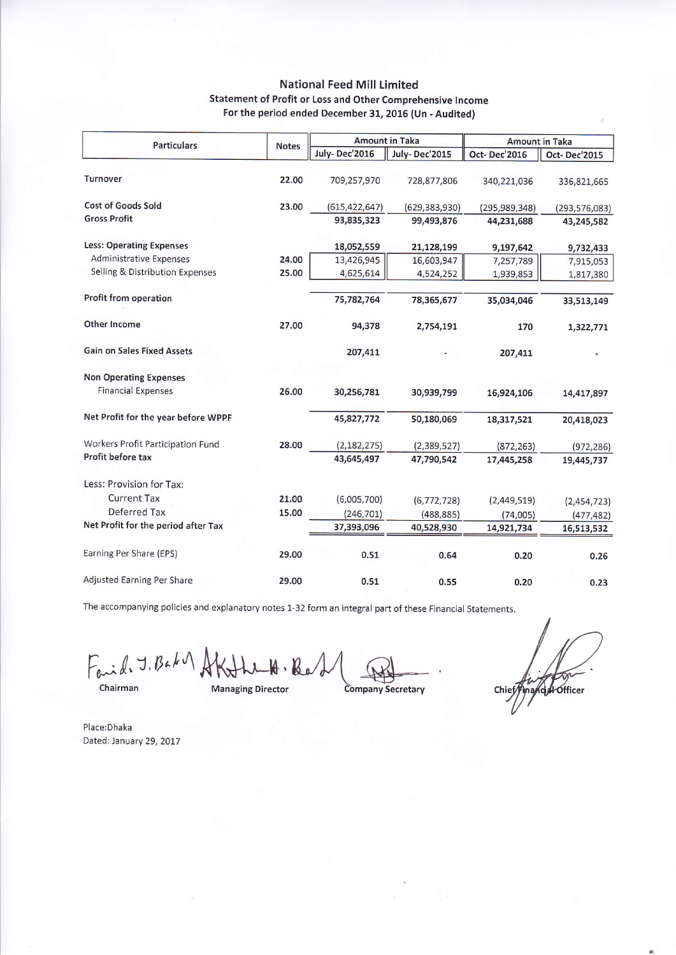### **National Feed Mill Limited** Statement of Profit or Loss and Other Comprehensive Income For the period ended December 31, 2016 (Un - Audited)

| <b>Particulars</b>                  | <b>Notes</b> | <b>Amount in Taka</b> |                      | <b>Amount in Taka</b> |                 |
|-------------------------------------|--------------|-----------------------|----------------------|-----------------------|-----------------|
|                                     |              | July-Dec'2016         | <b>July-Dec'2015</b> | Oct-Dec'2016          | Oct-Dec'2015    |
| Turnover                            | 22.00        | 709,257,970           | 728,877,806          | 340,221,036           | 336,821,665     |
| <b>Cost of Goods Sold</b>           | 23.00        | (615, 422, 647)       | (629, 383, 930)      | (295, 989, 348)       | (293, 576, 083) |
| <b>Gross Profit</b>                 |              | 93,835,323            | 99,493,876           | 44,231,688            | 43,245,582      |
| <b>Less: Operating Expenses</b>     |              | 18,052,559            | 21,128,199           | 9,197,642             | 9,732,433       |
| Administrative Expenses             | 24.00        | 13,426,945            | 16,603,947           | 7,257,789             | 7,915,053       |
| Selling & Distribution Expenses     | 25.00        | 4,625,614             | 4,524,252            | 1,939,853             | 1,817,380       |
| Profit from operation               |              | 75,782,764            | 78,365,677           | 35,034,046            | 33,513,149      |
| Other Income                        | 27.00        | 94,378                | 2,754,191            | 170                   | 1,322,771       |
| <b>Gain on Sales Fixed Assets</b>   |              | 207,411               |                      | 207,411               |                 |
| <b>Non Operating Expenses</b>       |              |                       |                      |                       |                 |
| <b>Financial Expenses</b>           | 26.00        | 30,256,781            | 30,939,799           | 16,924,106            | 14,417,897      |
| Net Profit for the year before WPPF |              | 45,827,772            | 50,180,069           | 18,317,521            | 20,418,023      |
| Workers Profit Participation Fund   | 28.00        | (2, 182, 275)         | (2,389,527)          | (872, 263)            | (972, 286)      |
| Profit before tax                   |              | 43,645,497            | 47,790,542           | 17,445,258            | 19,445,737      |
| Less: Provision for Tax:            |              |                       |                      |                       |                 |
| <b>Current Tax</b>                  | 21.00        | (6,005,700)           | (6, 772, 728)        | (2,449,519)           | (2,454,723)     |
| Deferred Tax                        | 15.00        | (246, 701)            | (488, 885)           | (74,005)              | (477, 482)      |
| Net Profit for the period after Tax |              | 37,393,096            | 40,528,930           | 14,921,734            | 16,513,532      |
| Earning Per Share (EPS)             | 29.00        | 0.51                  | 0.64                 | 0.20                  | 0.26            |
| Adjusted Earning Per Share          | 29.00        | 0.51                  | 0.55                 | 0.20                  | 0.23            |

The accompanying policies and explanatory notes 1-32 form an integral part of these Financial Statements.

Faid J. Baka Af

Chairman

**Managing Director** 

Company Secretary

nand Hofficer Chief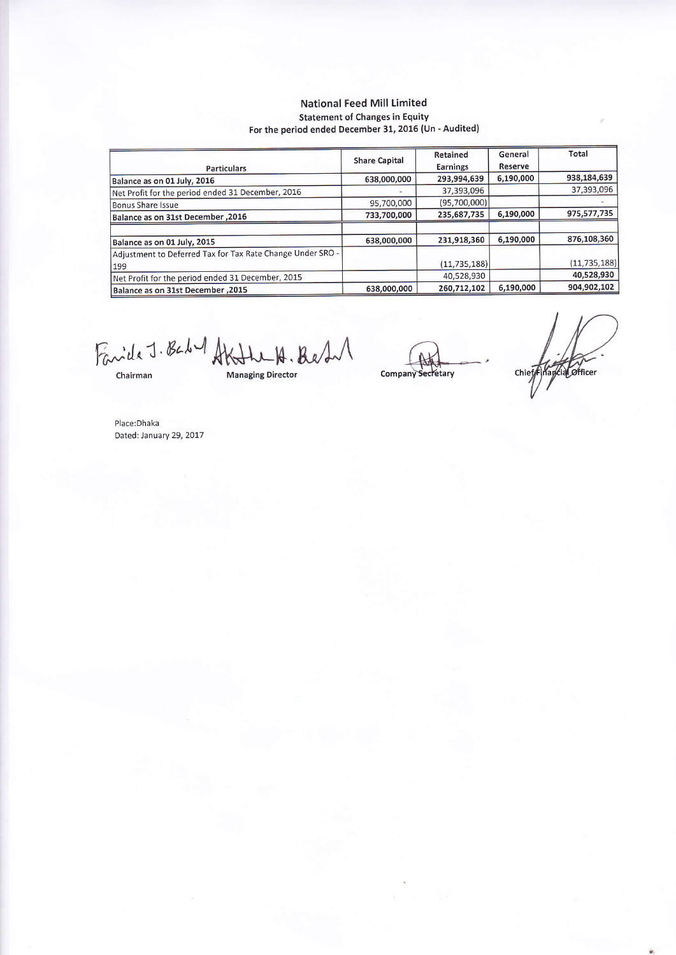#### **National Feed Mill Limited Statement of Changes in Equity** For the period ended December 31, 2016 (Un - Audited)

|                                                                   | <b>Share Capital</b> | Retained        | General        | Total          |
|-------------------------------------------------------------------|----------------------|-----------------|----------------|----------------|
| <b>Particulars</b>                                                |                      | <b>Earnings</b> | <b>Reserve</b> |                |
| Balance as on 01 July, 2016                                       | 638,000,000          | 293,994,639     | 6,190,000      | 938,184,639    |
| Net Profit for the period ended 31 December, 2016                 |                      | 37,393,096      |                | 37,393,096     |
| Bonus Share Issue                                                 | 95,700,000           | (95,700,000)    |                |                |
| Balance as on 31st December, 2016                                 | 733,700,000          | 235,687,735     | 6,190,000      | 975,577,735    |
|                                                                   |                      |                 |                |                |
| Balance as on 01 July, 2015                                       | 638,000,000          | 231,918,360     | 6,190,000      | 876,108,360    |
| Adjustment to Deferred Tax for Tax Rate Change Under SRO -<br>199 |                      | (11, 735, 188)  |                | (11, 735, 188) |
| Net Profit for the period ended 31 December, 2015                 |                      | 40,528,930      |                | 40,528,930     |
| Balance as on 31st December, 2015                                 | 638,000,000          | 260,712,102     | 6,190,000      | 904,902,102    |

Fanida J. Baby AKHLLA. Best

Chairman

**Managing Director** 

Company Secretary

Chief Financial Officer